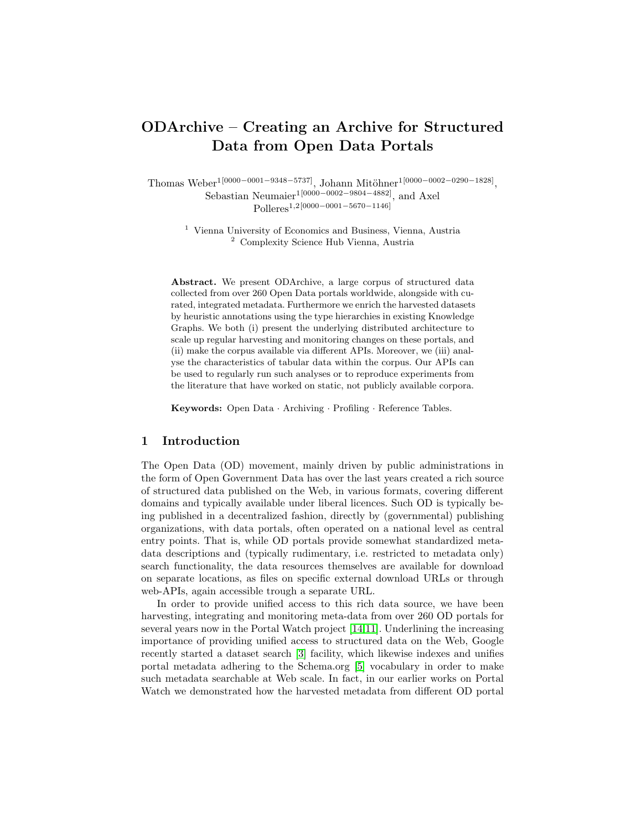# ODArchive – Creating an Archive for Structured Data from Open Data Portals

Thomas Weber<sup>1</sup><sup>[0000–0001–9348–5737]</sup>, Johann Mitöhner<sup>1</sup><sup>[0000–0002–0290–1828]</sup>, Sebastian Neumaier<sup>1[0000–0002–9804–4882]</sup>, and Axel Polleres1,2[0000−0001−5670−1146]

> <sup>1</sup> Vienna University of Economics and Business, Vienna, Austria <sup>2</sup> Complexity Science Hub Vienna, Austria

Abstract. We present ODArchive, a large corpus of structured data collected from over 260 Open Data portals worldwide, alongside with curated, integrated metadata. Furthermore we enrich the harvested datasets by heuristic annotations using the type hierarchies in existing Knowledge Graphs. We both (i) present the underlying distributed architecture to scale up regular harvesting and monitoring changes on these portals, and (ii) make the corpus available via different APIs. Moreover, we (iii) analyse the characteristics of tabular data within the corpus. Our APIs can be used to regularly run such analyses or to reproduce experiments from the literature that have worked on static, not publicly available corpora.

Keywords: Open Data · Archiving · Profiling · Reference Tables.

### 1 Introduction

The Open Data (OD) movement, mainly driven by public administrations in the form of Open Government Data has over the last years created a rich source of structured data published on the Web, in various formats, covering different domains and typically available under liberal licences. Such OD is typically being published in a decentralized fashion, directly by (governmental) publishing organizations, with data portals, often operated on a national level as central entry points. That is, while OD portals provide somewhat standardized metadata descriptions and (typically rudimentary, i.e. restricted to metadata only) search functionality, the data resources themselves are available for download on separate locations, as files on specific external download URLs or through web-APIs, again accessible trough a separate URL.

In order to provide unified access to this rich data source, we have been harvesting, integrating and monitoring meta-data from over 260 OD portals for several years now in the Portal Watch project [\[14,](#page-15-0)[11\]](#page-15-1). Underlining the increasing importance of providing unified access to structured data on the Web, Google recently started a dataset search [\[3\]](#page-14-0) facility, which likewise indexes and unifies portal metadata adhering to the Schema.org [\[5\]](#page-14-1) vocabulary in order to make such metadata searchable at Web scale. In fact, in our earlier works on Portal Watch we demonstrated how the harvested metadata from different OD portal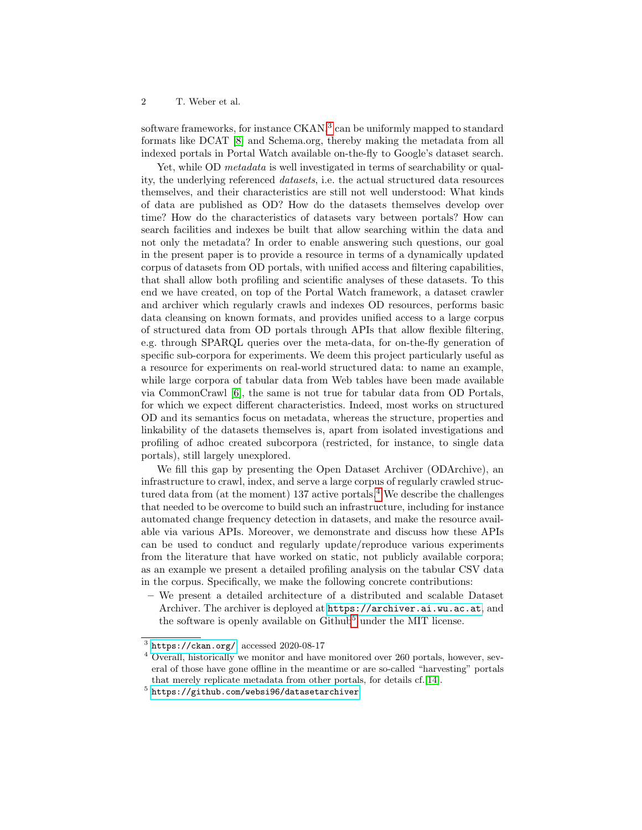software frameworks, for instance CKAN,<sup>[3](#page-1-0)</sup> can be uniformly mapped to standard formats like DCAT [\[8\]](#page-15-2) and Schema.org, thereby making the metadata from all indexed portals in Portal Watch available on-the-fly to Google's dataset search.

Yet, while OD *metadata* is well investigated in terms of searchability or quality, the underlying referenced datasets, i.e. the actual structured data resources themselves, and their characteristics are still not well understood: What kinds of data are published as OD? How do the datasets themselves develop over time? How do the characteristics of datasets vary between portals? How can search facilities and indexes be built that allow searching within the data and not only the metadata? In order to enable answering such questions, our goal in the present paper is to provide a resource in terms of a dynamically updated corpus of datasets from OD portals, with unified access and filtering capabilities, that shall allow both profiling and scientific analyses of these datasets. To this end we have created, on top of the Portal Watch framework, a dataset crawler and archiver which regularly crawls and indexes OD resources, performs basic data cleansing on known formats, and provides unified access to a large corpus of structured data from OD portals through APIs that allow flexible filtering, e.g. through SPARQL queries over the meta-data, for on-the-fly generation of specific sub-corpora for experiments. We deem this project particularly useful as a resource for experiments on real-world structured data: to name an example, while large corpora of tabular data from Web tables have been made available via CommonCrawl [\[6\]](#page-14-2), the same is not true for tabular data from OD Portals, for which we expect different characteristics. Indeed, most works on structured OD and its semantics focus on metadata, whereas the structure, properties and linkability of the datasets themselves is, apart from isolated investigations and profiling of adhoc created subcorpora (restricted, for instance, to single data portals), still largely unexplored.

We fill this gap by presenting the Open Dataset Archiver (ODArchive), an infrastructure to crawl, index, and serve a large corpus of regularly crawled struc-tured data from (at the moment) 137 active portals.<sup>[4](#page-1-1)</sup> We describe the challenges that needed to be overcome to build such an infrastructure, including for instance automated change frequency detection in datasets, and make the resource available via various APIs. Moreover, we demonstrate and discuss how these APIs can be used to conduct and regularly update/reproduce various experiments from the literature that have worked on static, not publicly available corpora; as an example we present a detailed profiling analysis on the tabular CSV data in the corpus. Specifically, we make the following concrete contributions:

– We present a detailed architecture of a distributed and scalable Dataset Archiver. The archiver is deployed at <https://archiver.ai.wu.ac.at>, and the software is openly available on  $Github<sup>5</sup>$  $Github<sup>5</sup>$  $Github<sup>5</sup>$  under the MIT license.

<span id="page-1-0"></span> $3$  <https://ckan.org/>, accessed 2020-08-17

<span id="page-1-1"></span><sup>4</sup> Overall, historically we monitor and have monitored over 260 portals, however, several of those have gone offline in the meantime or are so-called "harvesting" portals that merely replicate metadata from other portals, for details cf.[\[14\]](#page-15-0).

<span id="page-1-2"></span> $^5$  <https://github.com/websi96/datasetarchiver>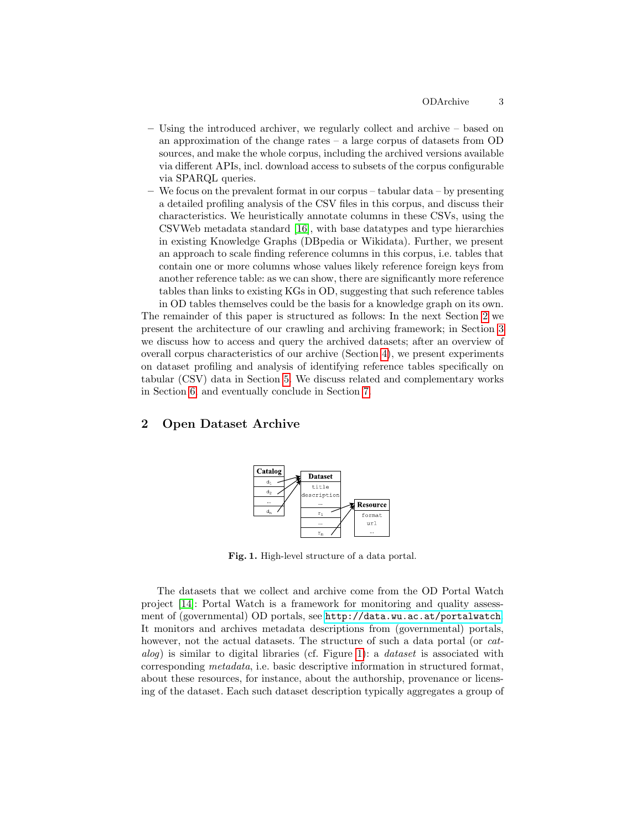- Using the introduced archiver, we regularly collect and archive based on an approximation of the change rates – a large corpus of datasets from OD sources, and make the whole corpus, including the archived versions available via different APIs, incl. download access to subsets of the corpus configurable via SPARQL queries.
- We focus on the prevalent format in our corpus tabular data by presenting a detailed profiling analysis of the CSV files in this corpus, and discuss their characteristics. We heuristically annotate columns in these CSVs, using the CSVWeb metadata standard [\[16\]](#page-15-3), with base datatypes and type hierarchies in existing Knowledge Graphs (DBpedia or Wikidata). Further, we present an approach to scale finding reference columns in this corpus, i.e. tables that contain one or more columns whose values likely reference foreign keys from another reference table: as we can show, there are significantly more reference tables than links to existing KGs in OD, suggesting that such reference tables

in OD tables themselves could be the basis for a knowledge graph on its own. The remainder of this paper is structured as follows: In the next Section [2](#page-2-0) we present the architecture of our crawling and archiving framework; in Section [3](#page-5-0) we discuss how to access and query the archived datasets; after an overview of overall corpus characteristics of our archive (Section [4\)](#page-8-0), we present experiments on dataset profiling and analysis of identifying reference tables specifically on tabular (CSV) data in Section [5.](#page-8-1) We discuss related and complementary works in Section [6,](#page-13-0) and eventually conclude in Section [7.](#page-14-3)

# <span id="page-2-0"></span>2 Open Dataset Archive



<span id="page-2-1"></span>Fig. 1. High-level structure of a data portal.

The datasets that we collect and archive come from the OD Portal Watch project [\[14\]](#page-15-0): Portal Watch is a framework for monitoring and quality assessment of (governmental) OD portals, see <http://data.wu.ac.at/portalwatch>. It monitors and archives metadata descriptions from (governmental) portals, however, not the actual datasets. The structure of such a data portal (or *cat* $a \log \theta$  is similar to digital libraries (cf. Figure [1\)](#page-2-1): a *dataset* is associated with corresponding metadata, i.e. basic descriptive information in structured format, about these resources, for instance, about the authorship, provenance or licensing of the dataset. Each such dataset description typically aggregates a group of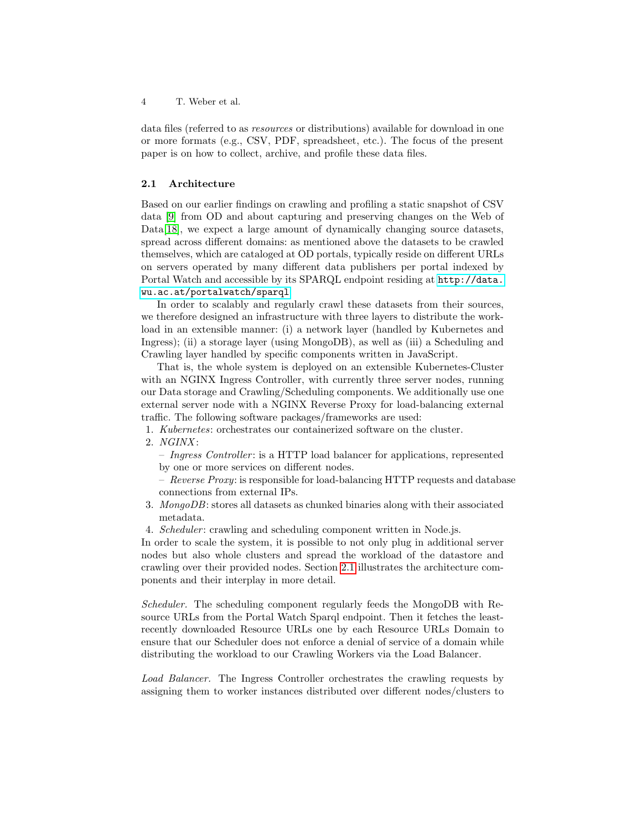data files (referred to as resources or distributions) available for download in one or more formats (e.g., CSV, PDF, spreadsheet, etc.). The focus of the present paper is on how to collect, archive, and profile these data files.

#### 2.1 Architecture

Based on our earlier findings on crawling and profiling a static snapshot of CSV data [\[9\]](#page-15-4) from OD and about capturing and preserving changes on the Web of Data[\[18\]](#page-15-5), we expect a large amount of dynamically changing source datasets, spread across different domains: as mentioned above the datasets to be crawled themselves, which are cataloged at OD portals, typically reside on different URLs on servers operated by many different data publishers per portal indexed by Portal Watch and accessible by its SPARQL endpoint residing at [http://data.](http://data.wu.ac.at/portalwatch/sparql) [wu.ac.at/portalwatch/sparql](http://data.wu.ac.at/portalwatch/sparql).

In order to scalably and regularly crawl these datasets from their sources, we therefore designed an infrastructure with three layers to distribute the workload in an extensible manner: (i) a network layer (handled by Kubernetes and Ingress); (ii) a storage layer (using MongoDB), as well as (iii) a Scheduling and Crawling layer handled by specific components written in JavaScript.

That is, the whole system is deployed on an extensible Kubernetes-Cluster with an NGINX Ingress Controller, with currently three server nodes, running our Data storage and Crawling/Scheduling components. We additionally use one external server node with a NGINX Reverse Proxy for load-balancing external traffic. The following software packages/frameworks are used:

- 1. Kubernetes: orchestrates our containerized software on the cluster.
- 2. NGINX :
	- Ingress Controller: is a HTTP load balancer for applications, represented by one or more services on different nodes.
	- $-$  Reverse Proxy: is responsible for load-balancing HTTP requests and database connections from external IPs.
- 3. MongoDB: stores all datasets as chunked binaries along with their associated metadata.
- <span id="page-3-0"></span>4. Scheduler: crawling and scheduling component written in Node.js.

In order to scale the system, it is possible to not only plug in additional server nodes but also whole clusters and spread the workload of the datastore and crawling over their provided nodes. Section [2.1](#page-3-0) illustrates the architecture components and their interplay in more detail.

Scheduler. The scheduling component regularly feeds the MongoDB with Resource URLs from the Portal Watch Sparql endpoint. Then it fetches the leastrecently downloaded Resource URLs one by each Resource URLs Domain to ensure that our Scheduler does not enforce a denial of service of a domain while distributing the workload to our Crawling Workers via the Load Balancer.

Load Balancer. The Ingress Controller orchestrates the crawling requests by assigning them to worker instances distributed over different nodes/clusters to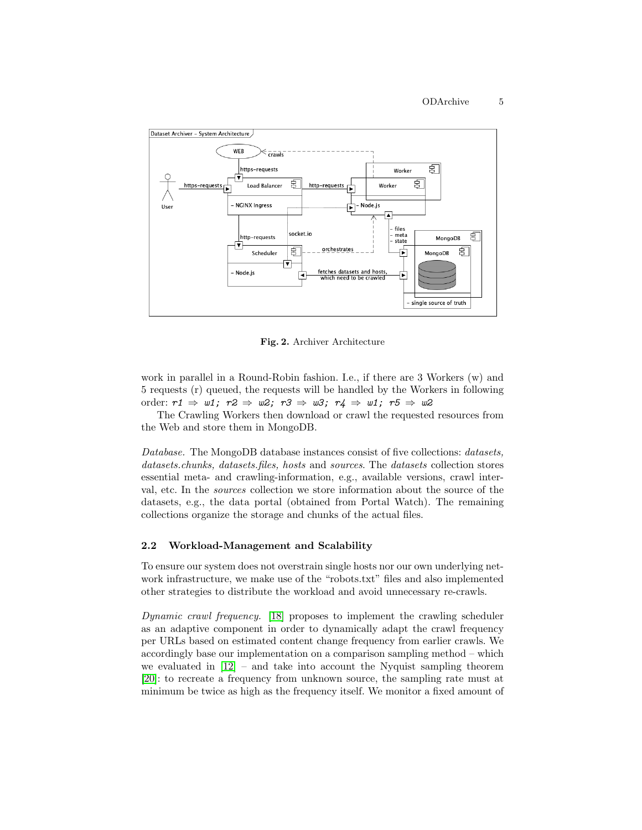

Fig. 2. Archiver Architecture

work in parallel in a Round-Robin fashion. I.e., if there are 3 Workers (w) and 5 requests (r) queued, the requests will be handled by the Workers in following order:  $r1 \Rightarrow w1$ ;  $r2 \Rightarrow w2$ ;  $r3 \Rightarrow w3$ ;  $r4 \Rightarrow w1$ ;  $r5 \Rightarrow w2$ 

The Crawling Workers then download or crawl the requested resources from the Web and store them in MongoDB.

Database. The MongoDB database instances consist of five collections: datasets, datasets.chunks, datasets.files, hosts and sources. The datasets collection stores essential meta- and crawling-information, e.g., available versions, crawl interval, etc. In the sources collection we store information about the source of the datasets, e.g., the data portal (obtained from Portal Watch). The remaining collections organize the storage and chunks of the actual files.

### 2.2 Workload-Management and Scalability

To ensure our system does not overstrain single hosts nor our own underlying network infrastructure, we make use of the "robots.txt" files and also implemented other strategies to distribute the workload and avoid unnecessary re-crawls.

Dynamic crawl frequency. [\[18\]](#page-15-5) proposes to implement the crawling scheduler as an adaptive component in order to dynamically adapt the crawl frequency per URLs based on estimated content change frequency from earlier crawls. We accordingly base our implementation on a comparison sampling method – which we evaluated in  $[12]$  – and take into account the Nyquist sampling theorem [\[20\]](#page-15-7): to recreate a frequency from unknown source, the sampling rate must at minimum be twice as high as the frequency itself. We monitor a fixed amount of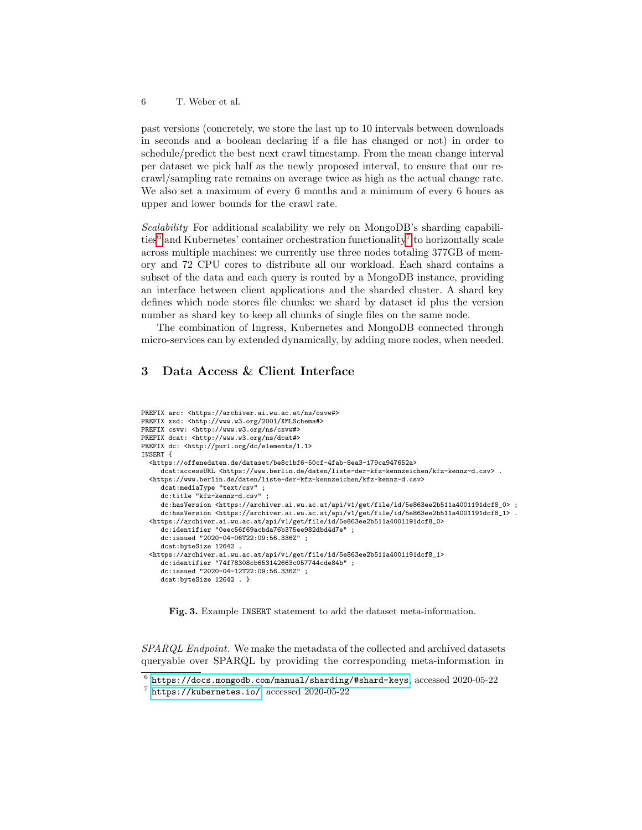past versions (concretely, we store the last up to 10 intervals between downloads in seconds and a boolean declaring if a file has changed or not) in order to schedule/predict the best next crawl timestamp. From the mean change interval per dataset we pick half as the newly proposed interval, to ensure that our recrawl/sampling rate remains on average twice as high as the actual change rate. We also set a maximum of every 6 months and a minimum of every 6 hours as upper and lower bounds for the crawl rate.

Scalability For additional scalability we rely on MongoDB's sharding capabili-ties<sup>[6](#page-5-1)</sup> and Kubernetes' container orchestration functionality<sup>[7](#page-5-2)</sup> to horizontally scale across multiple machines: we currently use three nodes totaling 377GB of memory and 72 CPU cores to distribute all our workload. Each shard contains a subset of the data and each query is routed by a MongoDB instance, providing an interface between client applications and the sharded cluster. A shard key defines which node stores file chunks: we shard by dataset id plus the version number as shard key to keep all chunks of single files on the same node.

The combination of Ingress, Kubernetes and MongoDB connected through micro-services can by extended dynamically, by adding more nodes, when needed.

# <span id="page-5-0"></span>3 Data Access & Client Interface

```
PREFIX arc: <https://archiver.ai.wu.ac.at/ns/csvw#>
PREFIX xsd: <http://www.w3.org/2001/XMLSchema#>
PREFIX csvw: <http://www.w3.org/ns/csvw#>
PREFIX dcat: <http://www.w3.org/ns/dcat#>
PREFIX dc: <http://purl.org/dc/elements/1.1>
INSERT {
 <https://offenedaten.de/dataset/be8c1bf6-50cf-4fab-8ea3-179ca947652a>
     dcat:accessURL <https://www.berlin.de/daten/liste-der-kfz-kennzeichen/kfz-kennz-d.csv> .
  <https://www.berlin.de/daten/liste-der-kfz-kennzeichen/kfz-kennz-d.csv>
     dcat:mediaType "text/csv" ;
     dc:title "kfz-kennz-d.csv" ;
     dc:hasVersion <https://archiver.ai.wu.ac.at/api/v1/get/file/id/5e863ee2b511a4001191dcf8_0>;
     dc:hasVersion <https://archiver.ai.wu.ac.at/api/v1/get/file/id/5e863ee2b511a4001191dcf8_1> .
  <https://archiver.ai.wu.ac.at/api/v1/get/file/id/5e863ee2b511a4001191dcf8_0>
     dc:identifier "0eec56f69acbda76b375ee982dbd4d7e";
     dc:issued "2020-04-06T22:09:56.336Z" ;
     dcat:byteSize 12642.
  <https://archiver.ai.wu.ac.at/api/v1/get/file/id/5e863ee2b511a4001191dcf8_1>
dc:identifier "74f78308cb653142663c057744cde84b" ;
     dc:issued "2020-04-12T22:09:56.336Z" ;
     dcat:byteSize 12642 . }
```
<span id="page-5-3"></span>Fig. 3. Example INSERT statement to add the dataset meta-information.

SPARQL Endpoint. We make the metadata of the collected and archived datasets queryable over SPARQL by providing the corresponding meta-information in

<span id="page-5-1"></span> $^6$  <https://docs.mongodb.com/manual/sharding/#shard-keys>, accessed  $2020$ -05- $22$ 

<span id="page-5-2"></span><sup>7</sup> <https://kubernetes.io/>, accessed 2020-05-22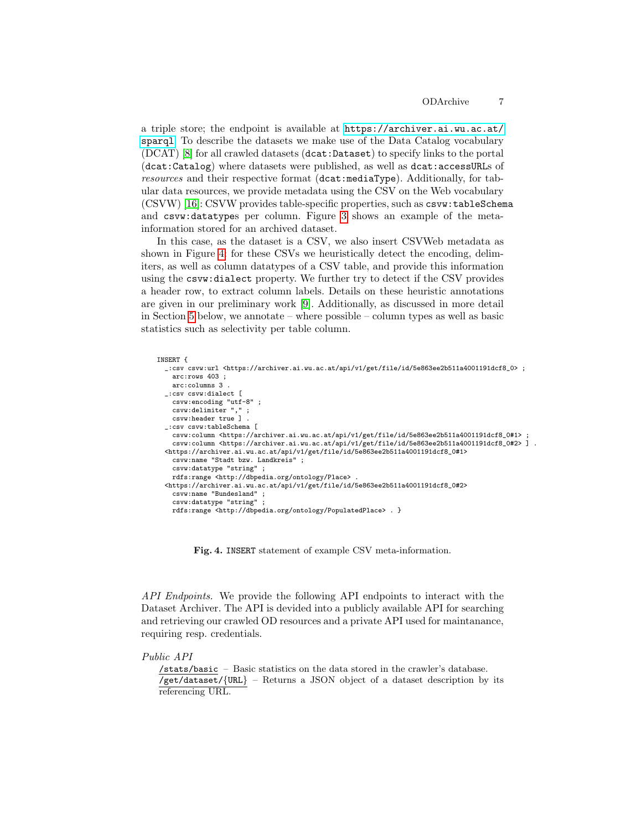a triple store; the endpoint is available at [https://archiver.ai.wu.ac.at/](https://archiver.ai.wu.ac.at/sparql) [sparql](https://archiver.ai.wu.ac.at/sparql). To describe the datasets we make use of the Data Catalog vocabulary (DCAT) [\[8\]](#page-15-2) for all crawled datasets (dcat:Dataset) to specify links to the portal (dcat:Catalog) where datasets were published, as well as dcat:accessURLs of resources and their respective format (dcat:mediaType). Additionally, for tabular data resources, we provide metadata using the CSV on the Web vocabulary (CSVW) [\[16\]](#page-15-3): CSVW provides table-specific properties, such as csvw:tableSchema and csvw:datatypes per column. Figure [3](#page-5-3) shows an example of the metainformation stored for an archived dataset.

In this case, as the dataset is a CSV, we also insert CSVWeb metadata as shown in Figure [4:](#page-6-0) for these CSVs we heuristically detect the encoding, delimiters, as well as column datatypes of a CSV table, and provide this information using the csvw:dialect property. We further try to detect if the CSV provides a header row, to extract column labels. Details on these heuristic annotations are given in our preliminary work [\[9\]](#page-15-4). Additionally, as discussed in more detail in Section [5](#page-8-1) below, we annotate – where possible – column types as well as basic statistics such as selectivity per table column.

```
INSERT {
  _:csv csvw:url <https://archiver.ai.wu.ac.at/api/v1/get/file/id/5e863ee2b511a4001191dcf8_0> ;
   arc:rows 403 ;
   arc:columns 3 .
  _:csv csvw:dialect [
   csvw:encoding "utf-8" ;
   csvw:delimiter ","
   csvw:header true ] .
  _:csv csvw:tableSchema [
   csvw:column <https://archiver.ai.wu.ac.at/api/v1/get/file/id/5e863ee2b511a4001191dcf8_0#1>
   csvw:column <https://archiver.ai.wu.ac.at/api/v1/get/file/id/5e863ee2b511a4001191dcf8_0#2> ]
  <https://archiver.ai.wu.ac.at/api/v1/get/file/id/5e863ee2b511a4001191dcf8_0#1>
   csvw:name "Stadt bzw. Landkreis" ;
   csvw:datatype "string" ;
   rdfs:range <http://dbpedia.org/ontology/Place> .
  <https://archiver.ai.wu.ac.at/api/v1/get/file/id/5e863ee2b511a4001191dcf8_0#2>
   csvw:name "Bundesland" ;
    csvw:datatype "string" ;
   rdfs:range <http://dbpedia.org/ontology/PopulatedPlace> . }
```
<span id="page-6-0"></span>Fig. 4. INSERT statement of example CSV meta-information.

API Endpoints. We provide the following API endpoints to interact with the Dataset Archiver. The API is devided into a publicly available API for searching and retrieving our crawled OD resources and a private API used for maintanance, requiring resp. credentials.

### Public API

/stats/basic – Basic statistics on the data stored in the crawler's database. /get/dataset/ $\{URL\}$  – Returns a JSON object of a dataset description by its referencing URL.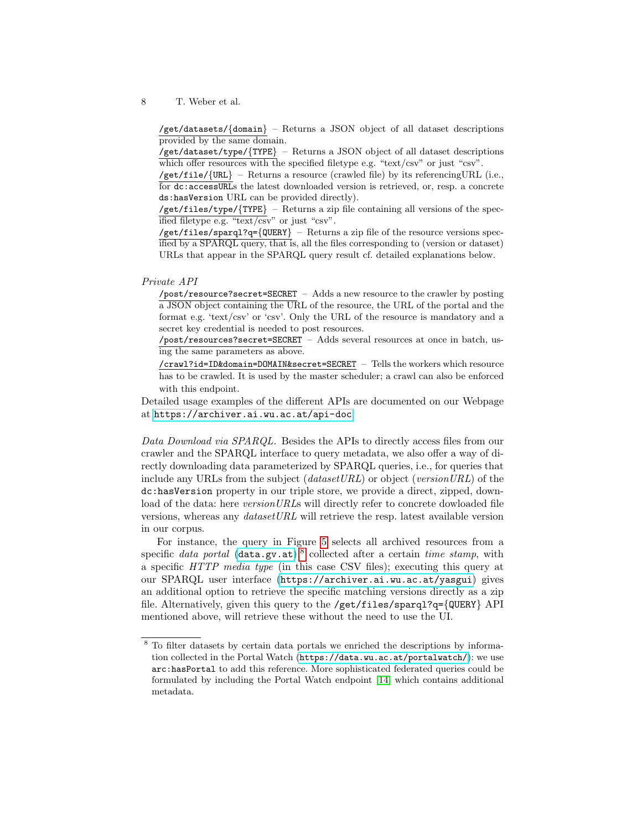/get/datasets/{domain} – Returns a JSON object of all dataset descriptions provided by the same domain.

/get/dataset/type/{TYPE} – Returns a JSON object of all dataset descriptions which offer resources with the specified filetype e.g. "text/csv" or just "csv".

 $\gamma$ get/file/{URL} – Returns a resource (crawled file) by its referencing URL (i.e., for dc:accessURLs the latest downloaded version is retrieved, or, resp. a concrete ds:hasVersion URL can be provided directly).

/get/files/type/{TYPE} – Returns a zip file containing all versions of the specified filetype e.g. "text/csv" or just "csv".

 $/get/files/sparq1?q={QUERY}$  – Returns a zip file of the resource versions specified by a SPARQL query, that is, all the files corresponding to (version or dataset) URLs that appear in the SPARQL query result cf. detailed explanations below.

### Private API

/post/resource?secret=SECRET – Adds a new resource to the crawler by posting a JSON object containing the URL of the resource, the URL of the portal and the format e.g. 'text/csv' or 'csv'. Only the URL of the resource is mandatory and a secret key credential is needed to post resources.

/post/resources?secret=SECRET – Adds several resources at once in batch, using the same parameters as above.

/crawl?id=ID&domain=DOMAIN&secret=SECRET – Tells the workers which resource has to be crawled. It is used by the master scheduler; a crawl can also be enforced with this endpoint.

Detailed usage examples of the different APIs are documented on our Webpage at <https://archiver.ai.wu.ac.at/api-doc>.

Data Download via SPARQL. Besides the APIs to directly access files from our crawler and the SPARQL interface to query metadata, we also offer a way of directly downloading data parameterized by SPARQL queries, i.e., for queries that include any URLs from the subject ( $datasetURL$ ) or object (version URL) of the dc:hasVersion property in our triple store, we provide a direct, zipped, download of the data: here *version URL*s will directly refer to concrete dowloaded file versions, whereas any datasetURL will retrieve the resp. latest available version in our corpus.

For instance, the query in Figure [5](#page-8-2) selects all archived resources from a specific *data portal* ( $data.gv.at$ ),<sup>[8](#page-7-0)</sup> collected after a certain *time stamp*, with a specific HTTP media type (in this case CSV files); executing this query at our SPARQL user interface (<https://archiver.ai.wu.ac.at/yasgui>) gives an additional option to retrieve the specific matching versions directly as a zip file. Alternatively, given this query to the /get/files/sparql?q={QUERY} API mentioned above, will retrieve these without the need to use the UI.

<span id="page-7-0"></span><sup>8</sup> To filter datasets by certain data portals we enriched the descriptions by information collected in the Portal Watch (<https://data.wu.ac.at/portalwatch/>): we use arc:hasPortal to add this reference. More sophisticated federated queries could be formulated by including the Portal Watch endpoint [\[14\]](#page-15-0) which contains additional metadata.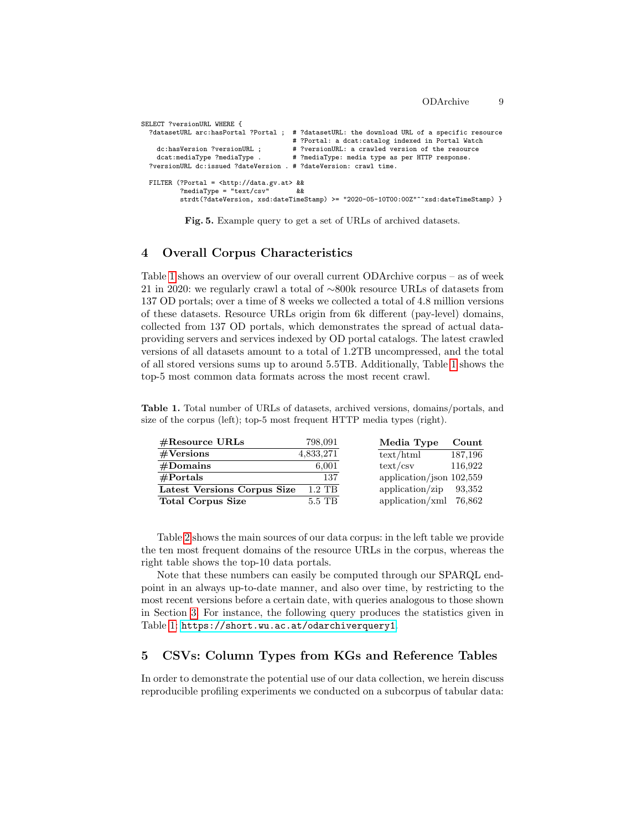| SELECT ?versionURL WHERE {                                       |                                                                                     |
|------------------------------------------------------------------|-------------------------------------------------------------------------------------|
| ?datasetURL arc:hasPortal ?Portal ;                              | # ?datasetURL: the download URL of a specific resource                              |
|                                                                  | # ?Portal: a dcat:catalog indexed in Portal Watch                                   |
| dc:hasVersion ?versionURL ;                                      | # ?versionURL: a crawled version of the resource                                    |
| dcat:mediaType ?mediaType .                                      | # ?mediaType: media type as per HTTP response.                                      |
| ?versionURL dc:issued ?dateVersion . # ?dateVersion: crawl time. |                                                                                     |
| FILTER (?Portal = $\langle$ http://data.gv.at> &&                |                                                                                     |
| ?mediaType = "text/csv"                                          | &&.                                                                                 |
|                                                                  | strdt(?dateVersion, xsd:dateTimeStamp) >= "2020-05-10T00:00Z"^^xsd:dateTimeStamp) } |

<span id="page-8-2"></span>Fig. 5. Example query to get a set of URLs of archived datasets.

# <span id="page-8-0"></span>4 Overall Corpus Characteristics

Table [1](#page-8-3) shows an overview of our overall current ODArchive corpus – as of week 21 in 2020: we regularly crawl a total of ∼800k resource URLs of datasets from 137 OD portals; over a time of 8 weeks we collected a total of 4.8 million versions of these datasets. Resource URLs origin from 6k different (pay-level) domains, collected from 137 OD portals, which demonstrates the spread of actual dataproviding servers and services indexed by OD portal catalogs. The latest crawled versions of all datasets amount to a total of 1.2TB uncompressed, and the total of all stored versions sums up to around 5.5TB. Additionally, Table [1](#page-8-3) shows the top-5 most common data formats across the most recent crawl.

<span id="page-8-3"></span>Table 1. Total number of URLs of datasets, archived versions, domains/portals, and size of the corpus (left); top-5 most frequent HTTP media types (right).

| $\#\text{Resource URLs}$    | 798,091   | Media Type                 | Count   |
|-----------------------------|-----------|----------------------------|---------|
| #Versions                   | 4,833,271 | text/html                  | 187,196 |
| $#$ Domains                 | 6,001     | text/csv                   | 116,922 |
| $\#\text{Portals}$          | 137       | application/json $102,559$ |         |
| Latest Versions Corpus Size | $1.2$ TB  | application/zip            | 93,352  |
| <b>Total Corpus Size</b>    | $5.5$ TB  | application/xml $76,862$   |         |

Table [2](#page-9-0) shows the main sources of our data corpus: in the left table we provide the ten most frequent domains of the resource URLs in the corpus, whereas the right table shows the top-10 data portals.

Note that these numbers can easily be computed through our SPARQL endpoint in an always up-to-date manner, and also over time, by restricting to the most recent versions before a certain date, with queries analogous to those shown in Section [3.](#page-5-0) For instance, the following query produces the statistics given in Table [1:](#page-8-3) <https://short.wu.ac.at/odarchiverquery1>.

### <span id="page-8-1"></span>5 CSVs: Column Types from KGs and Reference Tables

In order to demonstrate the potential use of our data collection, we herein discuss reproducible profiling experiments we conducted on a subcorpus of tabular data: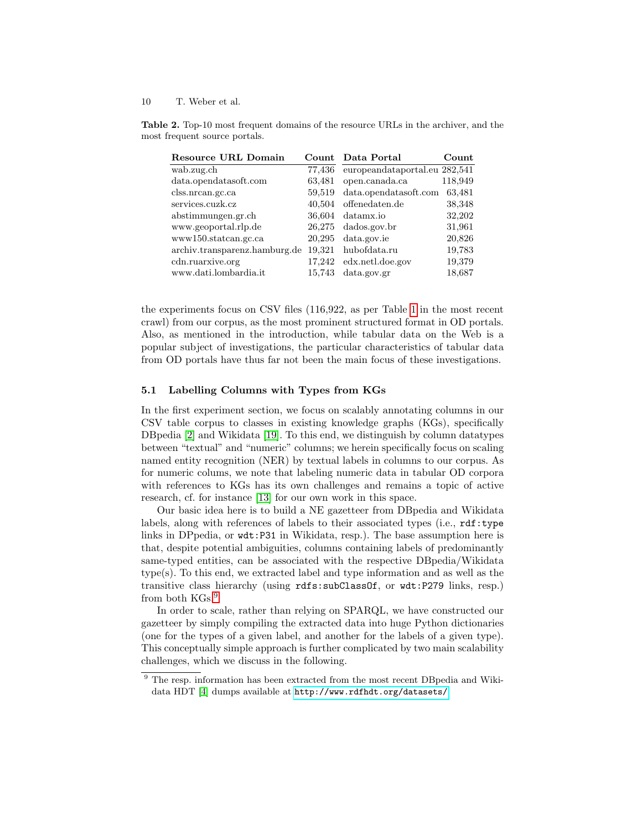<span id="page-9-0"></span>

| Resource URL Domain           |        | Count Data Portal             | Count   |
|-------------------------------|--------|-------------------------------|---------|
| wab.zug.ch                    | 77,436 | europeandataportal.eu 282,541 |         |
| data.opendatasoft.com         | 63,481 | open.canada.ca                | 118,949 |
| clss.nrcan.gc.ca              | 59,519 | data.opendataset.com          | 63,481  |
| services.cuzk.cz              | 40,504 | offenedaten.de                | 38,348  |
| abstimmungen.gr.ch            | 36,604 | datamx.io                     | 32,202  |
| www.geoportal.rlp.de          | 26,275 | dados.gov.br                  | 31,961  |
| www150.statcan.gc.ca          | 20,295 | data.gov.ie                   | 20,826  |
| archiv.transparenz.hamburg.de | 19,321 | hubofdata.ru                  | 19,783  |
| cdn.ruarxive.org              | 17,242 | edx.netl.doe.gov              | 19,379  |
| www.dati.lombardia.it         | 15.743 | data.gov.gr                   | 18,687  |

Table 2. Top-10 most frequent domains of the resource URLs in the archiver, and the most frequent source portals.

the experiments focus on CSV files (116,922, as per Table [1](#page-8-3) in the most recent crawl) from our corpus, as the most prominent structured format in OD portals. Also, as mentioned in the introduction, while tabular data on the Web is a popular subject of investigations, the particular characteristics of tabular data from OD portals have thus far not been the main focus of these investigations.

### 5.1 Labelling Columns with Types from KGs

In the first experiment section, we focus on scalably annotating columns in our CSV table corpus to classes in existing knowledge graphs (KGs), specifically DBpedia [\[2\]](#page-14-4) and Wikidata [\[19\]](#page-15-8). To this end, we distinguish by column datatypes between "textual" and "numeric" columns; we herein specifically focus on scaling named entity recognition (NER) by textual labels in columns to our corpus. As for numeric colums, we note that labeling numeric data in tabular OD corpora with references to KGs has its own challenges and remains a topic of active research, cf. for instance [\[13\]](#page-15-9) for our own work in this space.

Our basic idea here is to build a NE gazetteer from DBpedia and Wikidata labels, along with references of labels to their associated types (i.e., rdf:type links in DPpedia, or wdt:P31 in Wikidata, resp.). The base assumption here is that, despite potential ambiguities, columns containing labels of predominantly same-typed entities, can be associated with the respective DBpedia/Wikidata type(s). To this end, we extracted label and type information and as well as the transitive class hierarchy (using rdfs:subClassOf, or wdt:P279 links, resp.) from both KGs.<sup>[9](#page-9-1)</sup>

In order to scale, rather than relying on SPARQL, we have constructed our gazetteer by simply compiling the extracted data into huge Python dictionaries (one for the types of a given label, and another for the labels of a given type). This conceptually simple approach is further complicated by two main scalability challenges, which we discuss in the following.

<span id="page-9-1"></span><sup>&</sup>lt;sup>9</sup> The resp. information has been extracted from the most recent DBpedia and Wikidata HDT [\[4\]](#page-14-5) dumps available at <http://www.rdfhdt.org/datasets/>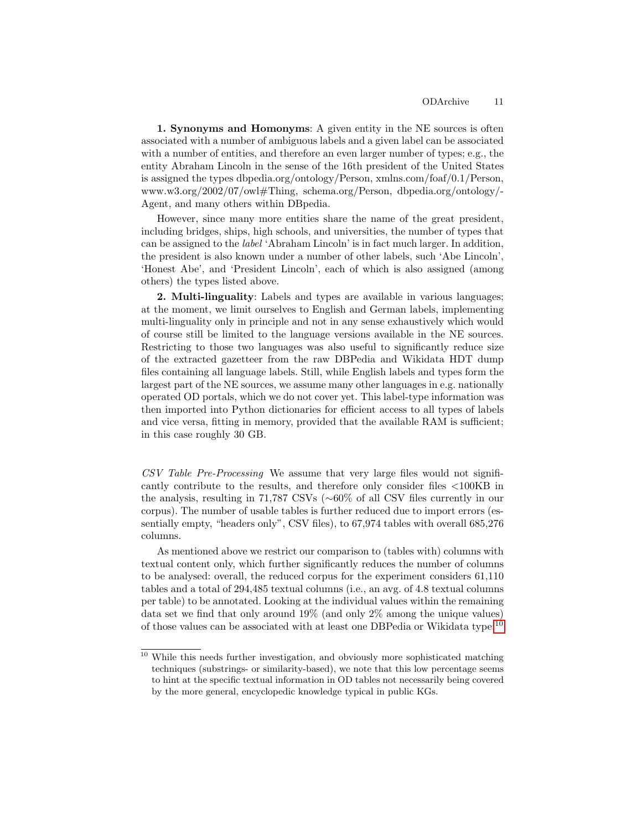1. Synonyms and Homonyms: A given entity in the NE sources is often associated with a number of ambiguous labels and a given label can be associated with a number of entities, and therefore an even larger number of types; e.g., the entity Abraham Lincoln in the sense of the 16th president of the United States is assigned the types dbpedia.org/ontology/Person, xmlns.com/foaf/0.1/Person, www.w3.org/2002/07/owl#Thing, schema.org/Person, dbpedia.org/ontology/- Agent, and many others within DBpedia.

However, since many more entities share the name of the great president, including bridges, ships, high schools, and universities, the number of types that can be assigned to the label 'Abraham Lincoln' is in fact much larger. In addition, the president is also known under a number of other labels, such 'Abe Lincoln', 'Honest Abe', and 'President Lincoln', each of which is also assigned (among others) the types listed above.

2. Multi-linguality: Labels and types are available in various languages; at the moment, we limit ourselves to English and German labels, implementing multi-linguality only in principle and not in any sense exhaustively which would of course still be limited to the language versions available in the NE sources. Restricting to those two languages was also useful to significantly reduce size of the extracted gazetteer from the raw DBPedia and Wikidata HDT dump files containing all language labels. Still, while English labels and types form the largest part of the NE sources, we assume many other languages in e.g. nationally operated OD portals, which we do not cover yet. This label-type information was then imported into Python dictionaries for efficient access to all types of labels and vice versa, fitting in memory, provided that the available RAM is sufficient; in this case roughly 30 GB.

CSV Table Pre-Processing We assume that very large files would not significantly contribute to the results, and therefore only consider files <100KB in the analysis, resulting in 71,787 CSVs (∼60% of all CSV files currently in our corpus). The number of usable tables is further reduced due to import errors (essentially empty, "headers only", CSV files), to 67,974 tables with overall 685,276 columns.

As mentioned above we restrict our comparison to (tables with) columns with textual content only, which further significantly reduces the number of columns to be analysed: overall, the reduced corpus for the experiment considers 61,110 tables and a total of 294,485 textual columns (i.e., an avg. of 4.8 textual columns per table) to be annotated. Looking at the individual values within the remaining data set we find that only around 19% (and only 2% among the unique values) of those values can be associated with at least one DBPedia or Wikidata type:[10](#page-10-0)

<span id="page-10-0"></span> $10$  While this needs further investigation, and obviously more sophisticated matching techniques (substrings- or similarity-based), we note that this low percentage seems to hint at the specific textual information in OD tables not necessarily being covered by the more general, encyclopedic knowledge typical in public KGs.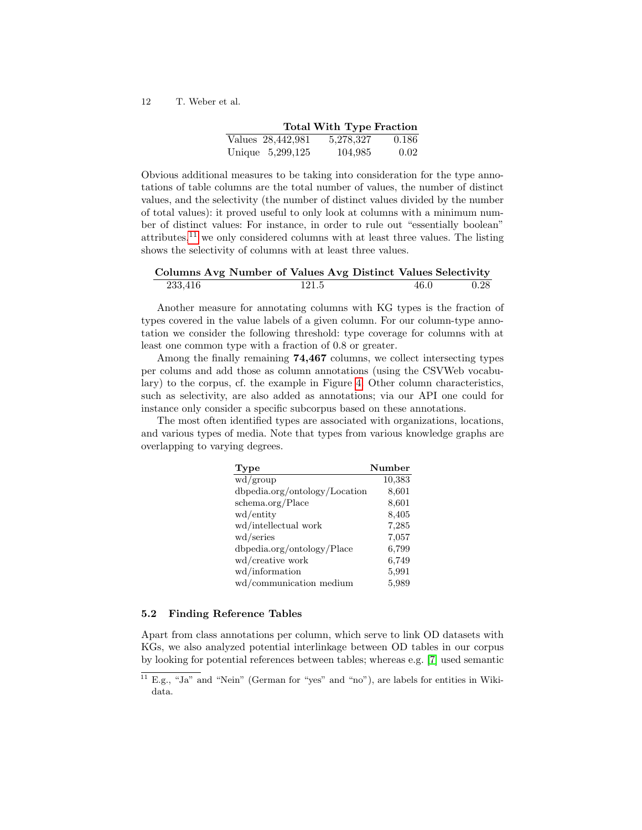|                   | <b>Total With Type Fraction</b> |       |
|-------------------|---------------------------------|-------|
| Values 28,442,981 | 5,278,327                       | 0.186 |
| Unique 5,299,125  | 104,985                         | 0.02  |

Obvious additional measures to be taking into consideration for the type annotations of table columns are the total number of values, the number of distinct values, and the selectivity (the number of distinct values divided by the number of total values): it proved useful to only look at columns with a minimum number of distinct values: For instance, in order to rule out "essentially boolean" attributes, $11$  we only considered columns with at least three values. The listing shows the selectivity of columns with at least three values.

|         | Columns Avg Number of Values Avg Distinct Values Selectivity |      |      |
|---------|--------------------------------------------------------------|------|------|
| 233,416 | 121.5                                                        | 46.0 | 0.28 |

Another measure for annotating columns with KG types is the fraction of types covered in the value labels of a given column. For our column-type annotation we consider the following threshold: type coverage for columns with at least one common type with a fraction of 0.8 or greater.

Among the finally remaining 74,467 columns, we collect intersecting types per colums and add those as column annotations (using the CSVWeb vocabulary) to the corpus, cf. the example in Figure [4.](#page-6-0) Other column characteristics, such as selectivity, are also added as annotations; via our API one could for instance only consider a specific subcorpus based on these annotations.

The most often identified types are associated with organizations, locations, and various types of media. Note that types from various knowledge graphs are overlapping to varying degrees.

| Type                             | Number |
|----------------------------------|--------|
| wd/group                         | 10,383 |
| $d$ bpedia.org/ontology/Location | 8,601  |
| schema.org/Place                 | 8,601  |
| wd/entity                        | 8,405  |
| wd/intellectual work             | 7,285  |
| wd/series                        | 7,057  |
| dbpedia.org/ontology/Place       | 6,799  |
| wd/creative work                 | 6,749  |
| wd/information                   | 5,991  |
| wd/communication medium          | 5,989  |

#### 5.2 Finding Reference Tables

Apart from class annotations per column, which serve to link OD datasets with KGs, we also analyzed potential interlinkage between OD tables in our corpus by looking for potential references between tables; whereas e.g. [\[7\]](#page-14-6) used semantic

<span id="page-11-0"></span> $11$  E.g., "Ja" and "Nein" (German for "yes" and "no"), are labels for entities in Wikidata.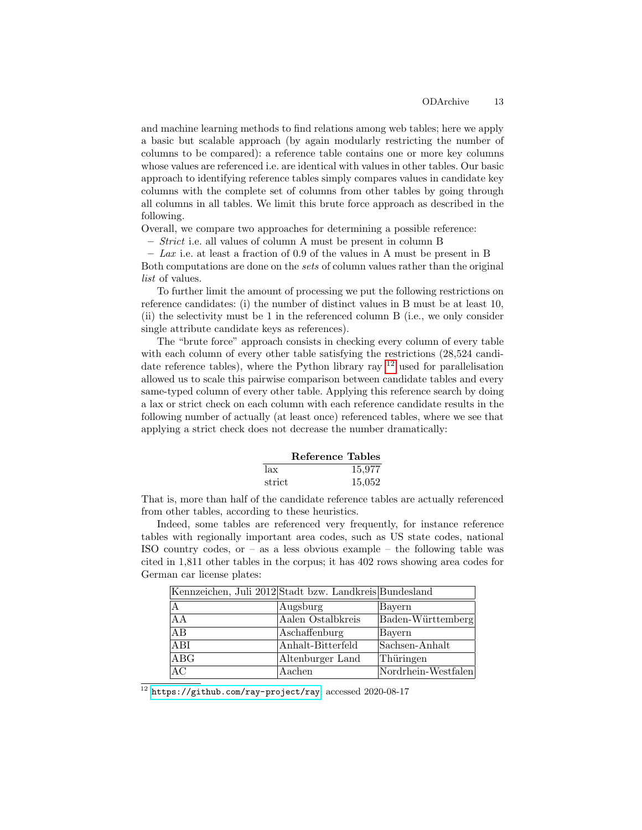and machine learning methods to find relations among web tables; here we apply a basic but scalable approach (by again modularly restricting the number of columns to be compared): a reference table contains one or more key columns whose values are referenced i.e. are identical with values in other tables. Our basic approach to identifying reference tables simply compares values in candidate key columns with the complete set of columns from other tables by going through all columns in all tables. We limit this brute force approach as described in the following.

Overall, we compare two approaches for determining a possible reference:

– Strict i.e. all values of column A must be present in column B

 $-$  Lax i.e. at least a fraction of 0.9 of the values in A must be present in B Both computations are done on the sets of column values rather than the original list of values.

To further limit the amount of processing we put the following restrictions on reference candidates: (i) the number of distinct values in B must be at least 10, (ii) the selectivity must be 1 in the referenced column B (i.e., we only consider single attribute candidate keys as references).

The "brute force" approach consists in checking every column of every table with each column of every other table satisfying the restrictions  $(28.524 \text{ candi-})$ date reference tables), where the Python library ray  $12$  used for parallelisation allowed us to scale this pairwise comparison between candidate tables and every same-typed column of every other table. Applying this reference search by doing a lax or strict check on each column with each reference candidate results in the following number of actually (at least once) referenced tables, where we see that applying a strict check does not decrease the number dramatically:

| Reference Tables |        |
|------------------|--------|
| lax              | 15,977 |
| strict           | 15,052 |

That is, more than half of the candidate reference tables are actually referenced from other tables, according to these heuristics.

Indeed, some tables are referenced very frequently, for instance reference tables with regionally important area codes, such as US state codes, national ISO country codes, or – as a less obvious example – the following table was cited in 1,811 other tables in the corpus; it has 402 rows showing area codes for German car license plates:

| Kennzeichen, Juli 2012 Stadt bzw. Landkreis Bundesland |                   |                     |
|--------------------------------------------------------|-------------------|---------------------|
| A                                                      | Augsburg          | Bayern              |
| AA                                                     | Aalen Ostalbkreis | Baden-Württemberg   |
| AB                                                     | Aschaffenburg     | Bayern              |
| ABI                                                    | Anhalt-Bitterfeld | Sachsen-Anhalt      |
| ABG                                                    | Altenburger Land  | Thüringen           |
| $\overline{AC}$                                        | Aachen            | Nordrhein-Westfalen |

<span id="page-12-0"></span> $12$  <https://github.com/ray-project/ray>, accessed 2020-08-17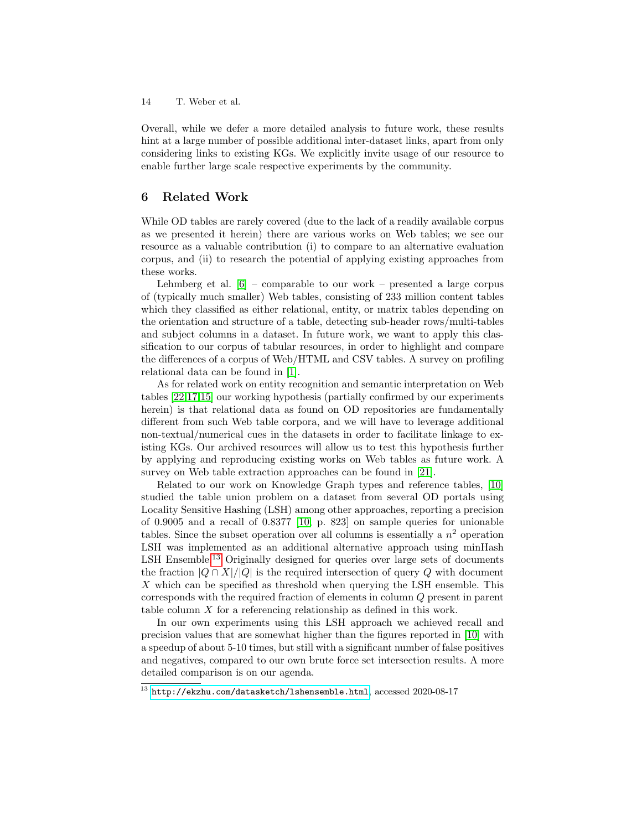Overall, while we defer a more detailed analysis to future work, these results hint at a large number of possible additional inter-dataset links, apart from only considering links to existing KGs. We explicitly invite usage of our resource to enable further large scale respective experiments by the community.

### <span id="page-13-0"></span>6 Related Work

While OD tables are rarely covered (due to the lack of a readily available corpus as we presented it herein) there are various works on Web tables; we see our resource as a valuable contribution (i) to compare to an alternative evaluation corpus, and (ii) to research the potential of applying existing approaches from these works.

Lehmberg et al.  $[6]$  – comparable to our work – presented a large corpus of (typically much smaller) Web tables, consisting of 233 million content tables which they classified as either relational, entity, or matrix tables depending on the orientation and structure of a table, detecting sub-header rows/multi-tables and subject columns in a dataset. In future work, we want to apply this classification to our corpus of tabular resources, in order to highlight and compare the differences of a corpus of Web/HTML and CSV tables. A survey on profiling relational data can be found in [\[1\]](#page-14-7).

As for related work on entity recognition and semantic interpretation on Web tables [\[22](#page-15-10)[,17](#page-15-11)[,15\]](#page-15-12) our working hypothesis (partially confirmed by our experiments herein) is that relational data as found on OD repositories are fundamentally different from such Web table corpora, and we will have to leverage additional non-textual/numerical cues in the datasets in order to facilitate linkage to existing KGs. Our archived resources will allow us to test this hypothesis further by applying and reproducing existing works on Web tables as future work. A survey on Web table extraction approaches can be found in [\[21\]](#page-15-13).

Related to our work on Knowledge Graph types and reference tables, [\[10\]](#page-15-14) studied the table union problem on a dataset from several OD portals using Locality Sensitive Hashing (LSH) among other approaches, reporting a precision of 0.9005 and a recall of 0.8377 [\[10,](#page-15-14) p. 823] on sample queries for unionable tables. Since the subset operation over all columns is essentially a  $n^2$  operation LSH was implemented as an additional alternative approach using minHash LSH Ensemble.<sup>[13](#page-13-1)</sup> Originally designed for queries over large sets of documents the fraction  $|Q \cap X|/|Q|$  is the required intersection of query Q with document  $X$  which can be specified as threshold when querying the LSH ensemble. This corresponds with the required fraction of elements in column Q present in parent table column X for a referencing relationship as defined in this work.

In our own experiments using this LSH approach we achieved recall and precision values that are somewhat higher than the figures reported in [\[10\]](#page-15-14) with a speedup of about 5-10 times, but still with a significant number of false positives and negatives, compared to our own brute force set intersection results. A more detailed comparison is on our agenda.

<span id="page-13-1"></span> $^{13}$ <http://ekzhu.com/datasketch/lshensemble.html>, accessed 2020-08-17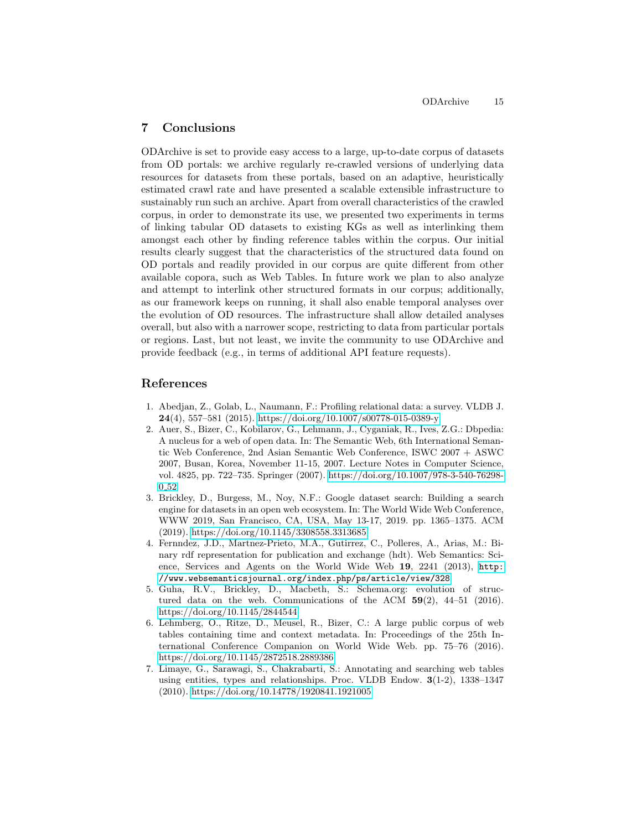# <span id="page-14-3"></span>7 Conclusions

ODArchive is set to provide easy access to a large, up-to-date corpus of datasets from OD portals: we archive regularly re-crawled versions of underlying data resources for datasets from these portals, based on an adaptive, heuristically estimated crawl rate and have presented a scalable extensible infrastructure to sustainably run such an archive. Apart from overall characteristics of the crawled corpus, in order to demonstrate its use, we presented two experiments in terms of linking tabular OD datasets to existing KGs as well as interlinking them amongst each other by finding reference tables within the corpus. Our initial results clearly suggest that the characteristics of the structured data found on OD portals and readily provided in our corpus are quite different from other available copora, such as Web Tables. In future work we plan to also analyze and attempt to interlink other structured formats in our corpus; additionally, as our framework keeps on running, it shall also enable temporal analyses over the evolution of OD resources. The infrastructure shall allow detailed analyses overall, but also with a narrower scope, restricting to data from particular portals or regions. Last, but not least, we invite the community to use ODArchive and provide feedback (e.g., in terms of additional API feature requests).

### References

- <span id="page-14-7"></span>1. Abedjan, Z., Golab, L., Naumann, F.: Profiling relational data: a survey. VLDB J. **24**(4), 557–581 (2015).<https://doi.org/10.1007/s00778-015-0389-y>
- <span id="page-14-4"></span>2. Auer, S., Bizer, C., Kobilarov, G., Lehmann, J., Cyganiak, R., Ives, Z.G.: Dbpedia: A nucleus for a web of open data. In: The Semantic Web, 6th International Semantic Web Conference, 2nd Asian Semantic Web Conference, ISWC 2007 + ASWC 2007, Busan, Korea, November 11-15, 2007. Lecture Notes in Computer Science, vol. 4825, pp. 722–735. Springer (2007). [https://doi.org/10.1007/978-3-540-76298-](https://doi.org/10.1007/978-3-540-76298-0_52) 0 [52](https://doi.org/10.1007/978-3-540-76298-0_52)
- <span id="page-14-0"></span>3. Brickley, D., Burgess, M., Noy, N.F.: Google dataset search: Building a search engine for datasets in an open web ecosystem. In: The World Wide Web Conference, WWW 2019, San Francisco, CA, USA, May 13-17, 2019. pp. 1365–1375. ACM (2019).<https://doi.org/10.1145/3308558.3313685>
- <span id="page-14-5"></span>4. Fernndez, J.D., Martnez-Prieto, M.A., Gutirrez, C., Polleres, A., Arias, M.: Binary rdf representation for publication and exchange (hdt). Web Semantics: Science, Services and Agents on the World Wide Web 19, 2241 (2013), [http:](http://www.websemanticsjournal.org/index.php/ps/article/view/328) [//www.websemanticsjournal.org/index.php/ps/article/view/328](http://www.websemanticsjournal.org/index.php/ps/article/view/328)
- <span id="page-14-1"></span>5. Guha, R.V., Brickley, D., Macbeth, S.: Schema.org: evolution of structured data on the web. Communications of the ACM  $59(2)$ , 44-51 (2016). <https://doi.org/10.1145/2844544>
- <span id="page-14-2"></span>6. Lehmberg, O., Ritze, D., Meusel, R., Bizer, C.: A large public corpus of web tables containing time and context metadata. In: Proceedings of the 25th International Conference Companion on World Wide Web. pp. 75–76 (2016). <https://doi.org/10.1145/2872518.2889386>
- <span id="page-14-6"></span>7. Limaye, G., Sarawagi, S., Chakrabarti, S.: Annotating and searching web tables using entities, types and relationships. Proc. VLDB Endow. 3(1-2), 1338–1347 (2010).<https://doi.org/10.14778/1920841.1921005>